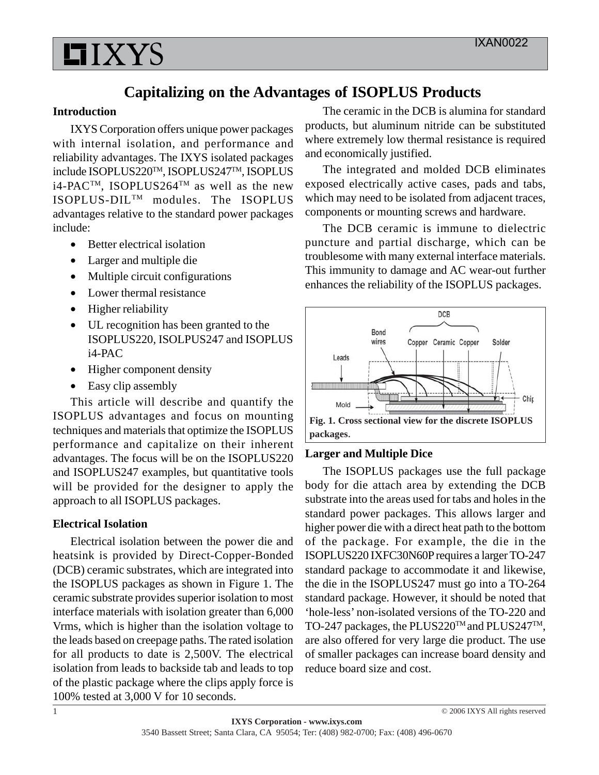

# **Capitalizing on the Advantages of ISOPLUS Products**

#### **Introduction**

IXYS Corporation offers unique power packages with internal isolation, and performance and reliability advantages. The IXYS isolated packages include ISOPLUS220TM, ISOPLUS247TM, ISOPLUS  $i4$ -PAC<sup>TM</sup>, ISOPLUS264<sup>TM</sup> as well as the new ISOPLUS-DILTM modules. The ISOPLUS advantages relative to the standard power packages include:

- Better electrical isolation
- Larger and multiple die
- Multiple circuit configurations
- Lower thermal resistance
- Higher reliability
- UL recognition has been granted to the ISOPLUS220, ISOLPUS247 and ISOPLUS i4-PAC
- Higher component density
- Easy clip assembly

This article will describe and quantify the ISOPLUS advantages and focus on mounting techniques and materials that optimize the ISOPLUS performance and capitalize on their inherent advantages. The focus will be on the ISOPLUS220 and ISOPLUS247 examples, but quantitative tools will be provided for the designer to apply the approach to all ISOPLUS packages.

#### **Electrical Isolation**

Electrical isolation between the power die and heatsink is provided by Direct-Copper-Bonded (DCB) ceramic substrates, which are integrated into the ISOPLUS packages as shown in Figure 1. The ceramic substrate provides superior isolation to most interface materials with isolation greater than 6,000 Vrms, which is higher than the isolation voltage to the leads based on creepage paths. The rated isolation for all products to date is 2,500V. The electrical isolation from leads to backside tab and leads to top of the plastic package where the clips apply force is 100% tested at 3,000 V for 10 seconds.

The ceramic in the DCB is alumina for standard products, but aluminum nitride can be substituted where extremely low thermal resistance is required and economically justified.

The integrated and molded DCB eliminates exposed electrically active cases, pads and tabs, which may need to be isolated from adjacent traces, components or mounting screws and hardware.

The DCB ceramic is immune to dielectric puncture and partial discharge, which can be troublesome with many external interface materials. This immunity to damage and AC wear-out further enhances the reliability of the ISOPLUS packages.



#### **Larger and Multiple Dice**

The ISOPLUS packages use the full package body for die attach area by extending the DCB substrate into the areas used for tabs and holes in the standard power packages. This allows larger and higher power die with a direct heat path to the bottom of the package. For example, the die in the ISOPLUS220 IXFC30N60P requires a larger TO-247 standard package to accommodate it and likewise, the die in the ISOPLUS247 must go into a TO-264 standard package. However, it should be noted that 'hole-less' non-isolated versions of the TO-220 and TO-247 packages, the PLUS220<sup>TM</sup> and PLUS247<sup>TM</sup>, are also offered for very large die product. The use of smaller packages can increase board density and reduce board size and cost.

© 2006 IXYS All rights reserved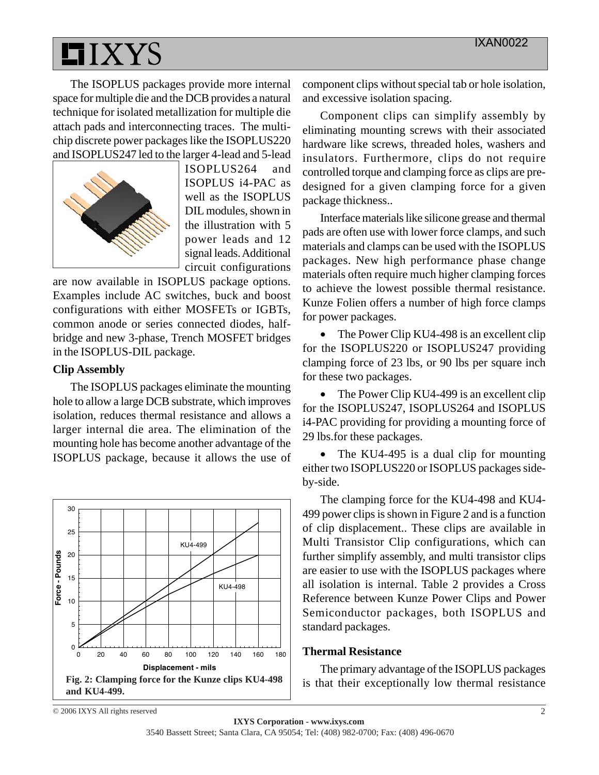

The ISOPLUS packages provide more internal space for multiple die and the DCB provides a natural technique for isolated metallization for multiple die attach pads and interconnecting traces. The multichip discrete power packages like the ISOPLUS220 and ISOPLUS247 led to the larger 4-lead and 5-lead



ISOPLUS264 and ISOPLUS i4-PAC as well as the ISOPLUS DIL modules, shown in the illustration with 5 power leads and 12 signal leads. Additional circuit configurations

are now available in ISOPLUS package options. Examples include AC switches, buck and boost configurations with either MOSFETs or IGBTs, common anode or series connected diodes, halfbridge and new 3-phase, Trench MOSFET bridges in the ISOPLUS-DIL package.

#### **Clip Assembly**

The ISOPLUS packages eliminate the mounting hole to allow a large DCB substrate, which improves isolation, reduces thermal resistance and allows a larger internal die area. The elimination of the mounting hole has become another advantage of the ISOPLUS package, because it allows the use of



component clips without special tab or hole isolation, and excessive isolation spacing.

Component clips can simplify assembly by eliminating mounting screws with their associated hardware like screws, threaded holes, washers and insulators. Furthermore, clips do not require controlled torque and clamping force as clips are predesigned for a given clamping force for a given package thickness..

Interface materials like silicone grease and thermal pads are often use with lower force clamps, and such materials and clamps can be used with the ISOPLUS packages. New high performance phase change materials often require much higher clamping forces to achieve the lowest possible thermal resistance. Kunze Folien offers a number of high force clamps for power packages.

• The Power Clip KU4-498 is an excellent clip for the ISOPLUS220 or ISOPLUS247 providing clamping force of 23 lbs, or 90 lbs per square inch for these two packages.

• The Power Clip KU4-499 is an excellent clip for the ISOPLUS247, ISOPLUS264 and ISOPLUS i4-PAC providing for providing a mounting force of 29 lbs.for these packages.

• The KU4-495 is a dual clip for mounting either two ISOPLUS220 or ISOPLUS packages sideby-side.

The clamping force for the KU4-498 and KU4- 499 power clips is shown in Figure 2 and is a function of clip displacement.. These clips are available in Multi Transistor Clip configurations, which can further simplify assembly, and multi transistor clips are easier to use with the ISOPLUS packages where all isolation is internal. Table 2 provides a Cross Reference between Kunze Power Clips and Power Semiconductor packages, both ISOPLUS and standard packages.

#### **Thermal Resistance**

The primary advantage of the ISOPLUS packages is that their exceptionally low thermal resistance

© 2006 IXYS All rights reserved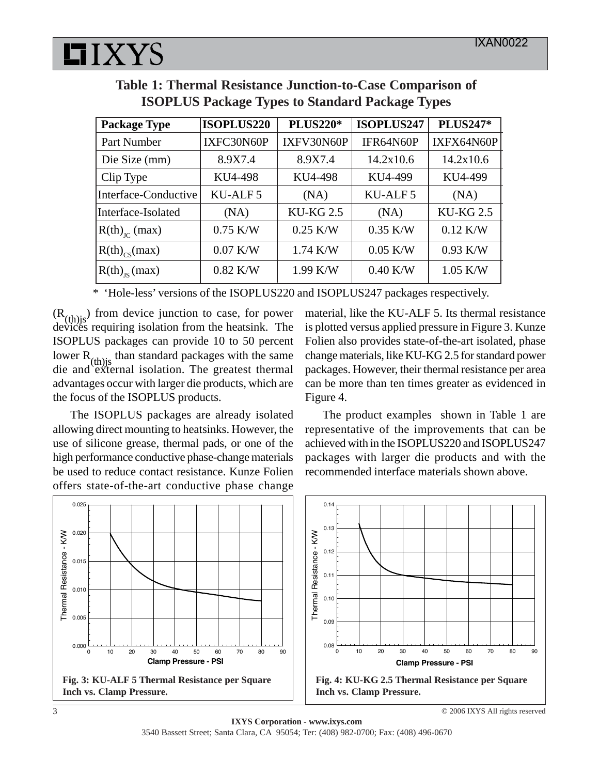

|  |  |  | Table 1: Thermal Resistance Junction-to-Case Comparison of |  |  |
|--|--|--|------------------------------------------------------------|--|--|
|  |  |  | <b>ISOPLUS Package Types to Standard Package Types</b>     |  |  |

| <b>Package Type</b>  | <b>ISOPLUS220</b>   | <b>PLUS220*</b>  | <b>ISOPLUS247</b>   | <b>PLUS247*</b> |
|----------------------|---------------------|------------------|---------------------|-----------------|
| Part Number          | IXFC30N60P          | IXFV30N60P       | IFR64N60P           | IXFX64N60P      |
| Die Size (mm)        | 8.9X7.4             | 8.9X7.4          | 14.2x10.6           | 14.2x10.6       |
| Clip Type            | KU4-498             | KU4-498          | KU4-499             | KU4-499         |
| Interface-Conductive | KU-ALF <sub>5</sub> | (NA)             | KU-ALF <sub>5</sub> | (NA)            |
| Interface-Isolated   | (NA)                | <b>KU-KG 2.5</b> | (NA)                | <b>KU-KG2.5</b> |
| $R(th)_{IC}$ (max)   | $0.75$ K/W          | $0.25$ K/W       | $0.35$ K/W          | $0.12$ K/W      |
| $R(th)_{cs}(max)$    | $0.07$ K/W          | $1.74$ K/W       | $0.05$ K/W          | $0.93$ K/W      |
| $R(th)_{rs}(max)$    | $0.82$ K/W          | $1.99$ K/W       | $0.40$ K/W          | $1.05$ K/W      |

\* 'Hole-less' versions of the ISOPLUS220 and ISOPLUS247 packages respectively.

 $(R<sub>(th)</sub>)$  from device junction to case, for power devices requiring isolation from the heatsink. The ISOPLUS packages can provide 10 to 50 percent lower  $R_{(th)j}$  than standard packages with the same die and external isolation. The greatest thermal advantages occur with larger die products, which are the focus of the ISOPLUS products.

The ISOPLUS packages are already isolated allowing direct mounting to heatsinks. However, the use of silicone grease, thermal pads, or one of the high performance conductive phase-change materials be used to reduce contact resistance. Kunze Folien offers state-of-the-art conductive phase change material, like the KU-ALF 5. Its thermal resistance is plotted versus applied pressure in Figure 3. Kunze Folien also provides state-of-the-art isolated, phase change materials, like KU-KG 2.5 for standard power packages. However, their thermal resistance per area can be more than ten times greater as evidenced in Figure 4.

The product examples shown in Table 1 are representative of the improvements that can be achieved with in the ISOPLUS220 and ISOPLUS247 packages with larger die products and with the recommended interface materials shown above.

© 2006 IXYS All rights reserved